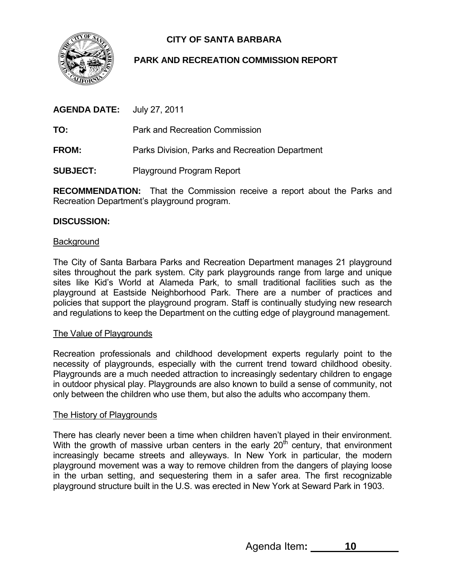

# **CITY OF SANTA BARBARA**

# **PARK AND RECREATION COMMISSION REPORT**

| <b>AGENDA DATE:</b> | July 27, 2011 |
|---------------------|---------------|
|---------------------|---------------|

**TO:** Park and Recreation Commission

**FROM:** Parks Division, Parks and Recreation Department

**SUBJECT:** Playground Program Report

**RECOMMENDATION:** That the Commission receive a report about the Parks and Recreation Department's playground program.

## **DISCUSSION:**

#### **Background**

The City of Santa Barbara Parks and Recreation Department manages 21 playground sites throughout the park system. City park playgrounds range from large and unique sites like Kid's World at Alameda Park, to small traditional facilities such as the playground at Eastside Neighborhood Park. There are a number of practices and policies that support the playground program. Staff is continually studying new research and regulations to keep the Department on the cutting edge of playground management.

#### The Value of Playgrounds

Recreation professionals and childhood development experts regularly point to the necessity of playgrounds, especially with the current trend toward childhood obesity. Playgrounds are a much needed attraction to increasingly sedentary children to engage in outdoor physical play. Playgrounds are also known to build a sense of community, not only between the children who use them, but also the adults who accompany them.

#### The History of Playgrounds

There has clearly never been a time when children haven't played in their environment. With the growth of massive urban centers in the early  $20<sup>th</sup>$  century, that environment increasingly became streets and alleyways. In New York in particular, the modern playground movement was a way to remove children from the dangers of playing loose in the urban setting, and sequestering them in a safer area. The first recognizable playground structure built in the U.S. was erected in New York at Seward Park in 1903.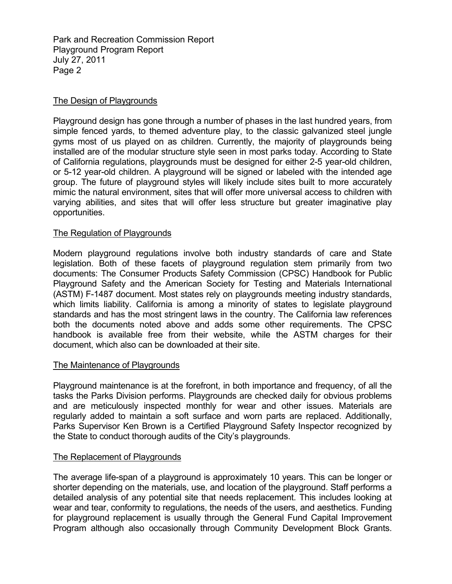Park and Recreation Commission Report Playground Program Report July 27, 2011 Page 2

# The Design of Playgrounds

Playground design has gone through a number of phases in the last hundred years, from simple fenced yards, to themed adventure play, to the classic galvanized steel jungle gyms most of us played on as children. Currently, the majority of playgrounds being installed are of the modular structure style seen in most parks today. According to State of California regulations, playgrounds must be designed for either 2-5 year-old children, or 5-12 year-old children. A playground will be signed or labeled with the intended age group. The future of playground styles will likely include sites built to more accurately mimic the natural environment, sites that will offer more universal access to children with varying abilities, and sites that will offer less structure but greater imaginative play opportunities.

## The Regulation of Playgrounds

Modern playground regulations involve both industry standards of care and State legislation. Both of these facets of playground regulation stem primarily from two documents: The Consumer Products Safety Commission (CPSC) Handbook for Public Playground Safety and the American Society for Testing and Materials International (ASTM) F-1487 document. Most states rely on playgrounds meeting industry standards, which limits liability. California is among a minority of states to legislate playground standards and has the most stringent laws in the country. The California law references both the documents noted above and adds some other requirements. The CPSC handbook is available free from their website, while the ASTM charges for their document, which also can be downloaded at their site.

#### The Maintenance of Playgrounds

Playground maintenance is at the forefront, in both importance and frequency, of all the tasks the Parks Division performs. Playgrounds are checked daily for obvious problems and are meticulously inspected monthly for wear and other issues. Materials are regularly added to maintain a soft surface and worn parts are replaced. Additionally, Parks Supervisor Ken Brown is a Certified Playground Safety Inspector recognized by the State to conduct thorough audits of the City's playgrounds.

#### The Replacement of Playgrounds

The average life-span of a playground is approximately 10 years. This can be longer or shorter depending on the materials, use, and location of the playground. Staff performs a detailed analysis of any potential site that needs replacement. This includes looking at wear and tear, conformity to regulations, the needs of the users, and aesthetics. Funding for playground replacement is usually through the General Fund Capital Improvement Program although also occasionally through Community Development Block Grants.